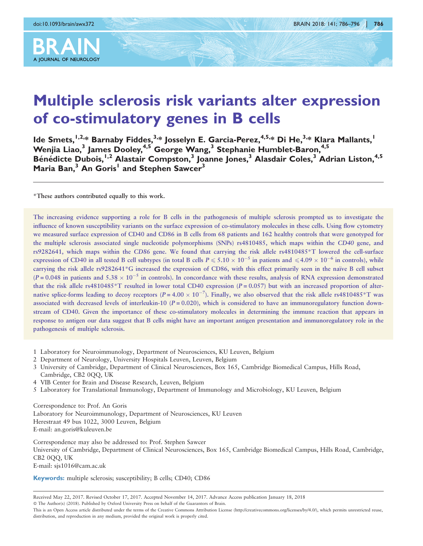

# Multiple sclerosis risk variants alter expression of co-stimulatory genes in B cells

Ide Smets,  $1,2,4$  Barnaby Fiddes,  $3,4$  Iosselyn E. Garcia-Perez,  $4,5,4$  Di He,  $3,4$  Klara Mallants,  $1$ Wenjia Liao,<sup>3</sup> James Dooley,<sup>4,5</sup> George Wang,<sup>3</sup> Stephanie Humblet-Baron,<sup>4,5</sup> Bénédicte Dubois,<sup>1,2</sup> Alastair Compston,<sup>3</sup> Joanne Jones,<sup>3</sup> Alasdair Coles,<sup>3</sup> Adrian Liston,<sup>4,5</sup> Maria Ban,<sup>3</sup> An Goris<sup>1</sup> and Stephen Sawcer<sup>3</sup>

\*These authors contributed equally to this work.

The increasing evidence supporting a role for B cells in the pathogenesis of multiple sclerosis prompted us to investigate the influence of known susceptibility variants on the surface expression of co-stimulatory molecules in these cells. Using flow cytometry we measured surface expression of CD40 and CD86 in B cells from 68 patients and 162 healthy controls that were genotyped for the multiple sclerosis associated single nucleotide polymorphisms (SNPs) rs4810485, which maps within the CD40 gene, and rs9282641, which maps within the CD86 gene. We found that carrying the risk allele rs4810485\*T lowered the cell-surface expression of CD40 in all tested B cell subtypes (in total B cells  $P \leqslant 5.10 \times 10^{-5}$  in patients and  $\leqslant 4.09 \times 10^{-6}$  in controls), while carrying the risk allele rs9282641\*G increased the expression of CD86, with this effect primarily seen in the naïve B cell subset (P = 0.048 in patients and  $5.38 \times 10^{-5}$  in controls). In concordance with these results, analysis of RNA expression demonstrated that the risk allele rs4810485\*T resulted in lower total CD40 expression ( $P = 0.057$ ) but with an increased proportion of alternative splice-forms leading to decoy receptors ( $P = 4.00 \times 10^{-7}$ ). Finally, we also observed that the risk allele rs4810485\*T was associated with decreased levels of interleukin-10 ( $P = 0.020$ ), which is considered to have an immunoregulatory function downstream of CD40. Given the importance of these co-stimulatory molecules in determining the immune reaction that appears in response to antigen our data suggest that B cells might have an important antigen presentation and immunoregulatory role in the pathogenesis of multiple sclerosis.

- 1 Laboratory for Neuroimmunology, Department of Neurosciences, KU Leuven, Belgium
- 2 Department of Neurology, University Hospitals Leuven, Leuven, Belgium
- 3 University of Cambridge, Department of Clinical Neurosciences, Box 165, Cambridge Biomedical Campus, Hills Road, Cambridge, CB2 0QQ, UK
- 4 VIB Center for Brain and Disease Research, Leuven, Belgium
- 5 Laboratory for Translational Immunology, Department of Immunology and Microbiology, KU Leuven, Belgium

Correspondence to: Prof. An Goris Laboratory for Neuroimmunology, Department of Neurosciences, KU Leuven

Herestraat 49 bus 1022, 3000 Leuven, Belgium

E-mail: an.goris@kuleuven.be

Correspondence may also be addressed to: Prof. Stephen Sawcer

University of Cambridge, Department of Clinical Neurosciences, Box 165, Cambridge Biomedical Campus, Hills Road, Cambridge, CB2 0QQ, UK E-mail: sjs1016@cam.ac.uk

Keywords: multiple sclerosis; susceptibility; B cells; CD40; CD86

Received May 22, 2017. Revised October 17, 2017. Accepted November 14, 2017. Advance Access publication January 18, 2018

- The Author(s) (2018). Published by Oxford University Press on behalf of the Guarantors of Brain.

This is an Open Access article distributed under the terms of the Creative Commons Attribution License (http://creativecommons.org/licenses/by/4.0/), which permits unrestricted reuse, distribution, and reproduction in any medium, provided the original work is properly cited.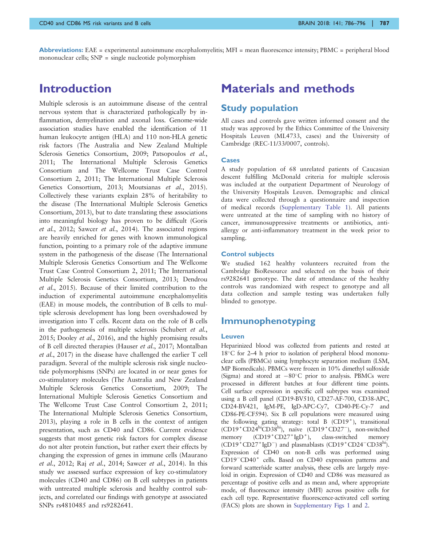**Abbreviations:** EAE = experimental autoimmune encephalomyelitis; MFI = mean fluorescence intensity; PBMC = peripheral blood mononuclear cells; SNP = single nucleotide polymorphism

### Introduction

Multiple sclerosis is an autoimmune disease of the central nervous system that is characterized pathologically by inflammation, demyelination and axonal loss. Genome-wide association studies have enabled the identification of 11 human leukocyte antigen (HLA) and 110 non-HLA genetic risk factors ([The Australia and New Zealand Multiple](#page-10-0) [Sclerosis Genetics Consortium, 2009; Patsopoulos](#page-10-0) et al., [2011](#page-10-0); [The International Multiple Sclerosis Genetics](#page-10-0) [Consortium and The Wellcome Trust Case Control](#page-10-0) [Consortium 2, 2011; The International Multiple Sclerosis](#page-10-0) [Genetics Consortium, 2013; Moutsianas](#page-10-0) et al., 2015). Collectively these variants explain 28% of heritability to the disease [\(The International Multiple Sclerosis Genetics](#page-10-0) [Consortium, 2013](#page-10-0)), but to date translating these associations into meaningful biology has proven to be difficult ([Goris](#page-9-0) et al.[, 2012](#page-9-0); [Sawcer](#page-10-0) et al., 2014). The associated regions are heavily enriched for genes with known immunological function, pointing to a primary role of the adaptive immune system in the pathogenesis of the disease [\(The International](#page-10-0) [Multiple Sclerosis Genetics Consortium and The Wellcome](#page-10-0) [Trust Case Control Consortium 2, 2011; The International](#page-10-0) [Multiple Sclerosis Genetics Consortium, 2013;](#page-10-0) [Dendrou](#page-9-0) et al.[, 2015](#page-9-0)). Because of their limited contribution to the induction of experimental autoimmune encephalomyelitis (EAE) in mouse models, the contribution of B cells to multiple sclerosis development has long been overshadowed by investigation into T cells. Recent data on the role of B cells in the pathogenesis of multiple sclerosis ([Schubert](#page-10-0) et al., [2015](#page-10-0); [Dooley](#page-9-0) et al., 2016), and the highly promising results of B cell directed therapies [\(Hauser](#page-9-0) et al., 2017; [Montalban](#page-10-0) et al.[, 2017](#page-10-0)) in the disease have challenged the earlier T cell paradigm. Several of the multiple sclerosis risk single nucleotide polymorphisms (SNPs) are located in or near genes for co-stimulatory molecules ([The Australia and New Zealand](#page-10-0) [Multiple Sclerosis Genetics Consortium, 2009; The](#page-10-0) [International Multiple Sclerosis Genetics Consortium and](#page-10-0) [The Wellcome Trust Case Control Consortium 2, 2011](#page-10-0); [The International Multiple Sclerosis Genetics Consortium,](#page-10-0) [2013](#page-10-0)), playing a role in B cells in the context of antigen presentation, such as CD40 and CD86. Current evidence suggests that most genetic risk factors for complex disease do not alter protein function, but rather exert their effects by changing the expression of genes in immune cells ([Maurano](#page-10-0) et al.[, 2012;](#page-10-0) Raj et al.[, 2014](#page-10-0); [Sawcer](#page-10-0) et al., 2014). In this study we assessed surface expression of key co-stimulatory molecules (CD40 and CD86) on B cell subtypes in patients with untreated multiple sclerosis and healthy control subjects, and correlated our findings with genotype at associated SNPs rs4810485 and rs9282641.

# Materials and methods

### Study population

All cases and controls gave written informed consent and the study was approved by the Ethics Committee of the University Hospitals Leuven (ML4733, cases) and the University of Cambridge (REC-11/33/0007, controls).

#### Cases

A study population of 68 unrelated patients of Caucasian descent fulfilling McDonald criteria for multiple sclerosis was included at the outpatient Department of Neurology of the University Hospitals Leuven. Demographic and clinical data were collected through a questionnaire and inspection of medical records (Supplementary Table 1). All patients were untreated at the time of sampling with no history of cancer, immunosuppressive treatments or antibiotics, antiallergy or anti-inflammatory treatment in the week prior to sampling.

#### Control subjects

We studied 162 healthy volunteers recruited from the Cambridge BioResource and selected on the basis of their rs9282641 genotype. The date of attendance of the healthy controls was randomized with respect to genotype and all data collection and sample testing was undertaken fully blinded to genotype.

### Immunophenotyping

#### Leuven

Heparinized blood was collected from patients and rested at  $18^{\circ}$ C for 2–4 h prior to isolation of peripheral blood mononuclear cells (PBMCs) using lymphocyte separation medium (LSM, MP Biomedicals). PBMCs were frozen in 10% dimethyl sulfoxide (Sigma) and stored at  $-80^{\circ}$ C prior to analysis. PBMCs were processed in different batches at four different time points. Cell surface expression in specific cell subtypes was examined using a B cell panel (CD19-BV510, CD27-AF-700, CD38-APC, CD24-BV421, IgM-PE, IgD-APC-Cy7, CD40-PE-Cy-7 and CD86-PE-CF594). Six B cell populations were measured using the following gating strategy: total B  $(CD19<sup>+</sup>)$ , transitional (CD19<sup>+</sup>CD24<sup>hi</sup>CD38<sup>hi</sup>), naïve (CD19<sup>+</sup>CD27<sup>-</sup>), non-switched memory (CD19<sup>+</sup>CD27<sup>+</sup> IgD<sup>+</sup>), class-switched memory (CD19<sup>+</sup>CD27<sup>+</sup> IgD<sup>-</sup>) and plasmablasts (CD19<sup>+</sup>CD24<sup>-</sup>CD38<sup>hi</sup>). Expression of CD40 on non-B cells was performed using CD19<sup>-</sup>CD40<sup>+</sup> cells. Based on CD40 expression patterns and forward scatter/side scatter analysis, these cells are largely myeloid in origin. Expression of CD40 and CD86 was measured as percentage of positive cells and as mean and, where appropriate mode, of fluorescence intensity (MFI) across positive cells for each cell type. Representative fluorescence-activated cell sorting (FACS) plots are shown in Supplementary Figs 1 and 2.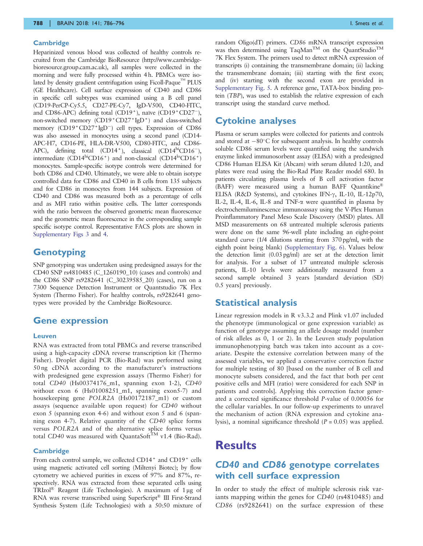#### **Cambridge**

Heparinized venous blood was collected of healthy controls recruited from the Cambridge BioResource (http://www.cambridgebioresource.group.cam.ac.uk), all samples were collected in the morning and were fully processed within 4 h. PBMCs were isolated by density gradient centrifugation using Ficoll-Paque<sup>TM</sup> PLUS (GE Healthcare). Cell surface expression of CD40 and CD86 in specific cell subtypes was examined using a B cell panel (CD19-PerCP-Cy5.5, CD27-PE-Cy7, IgD-V500, CD40-FITC, and CD86-APC) defining total (CD19<sup>+</sup>), naïve (CD19<sup>+</sup>CD27<sup>-</sup>), non-switched memory (CD19+CD27+IgD+) and class-switched memory (CD19<sup>+</sup>CD27<sup>+</sup>IgD<sup>-</sup>) cell types. Expression of CD86 was also assessed in monocytes using a second panel (CD14- APC-H7, CD16-PE, HLA-DR-V500, CD80-FITC, and CD86- APC), defining total  $(CD14^+)$ , classical  $(CD14^{\text{hi}}CD16^-)$ , intermediate  $(CD14^{\text{hi}}CD16^+)$  and non-classical  $(CD14^{\text{lo}}CD16^+)$ monocytes. Sample-specific isotype controls were determined for both CD86 and CD40. Ultimately, we were able to obtain isotype controlled data for CD86 and CD40 in B cells from 135 subjects and for CD86 in monocytes from 144 subjects. Expression of CD40 and CD86 was measured both as a percentage of cells and as MFI ratio within positive cells. The latter corresponds with the ratio between the observed geometric mean fluorescence and the geometric mean fluorescence in the corresponding sample specific isotype control. Representative FACS plots are shown in Supplementary Figs 3 and 4.

### **Genotyping**

SNP genotyping was undertaken using predesigned assays for the CD40 SNP rs4810485 (C\_1260190\_10) (cases and controls) and the CD86 SNP rs9282641 (C\_30239585\_20) (cases), run on a 7300 Sequence Detection Instrument or Quantstudio 7K Flex System (Thermo Fisher). For healthy controls, rs9282641 genotypes were provided by the Cambridge BioResource.

#### Gene expression

#### Leuven

RNA was extracted from total PBMCs and reverse transcribed using a high-capacity cDNA reverse transcription kit (Thermo Fisher). Droplet digital PCR (Bio-Rad) was performed using 50 ng cDNA according to the manufacturer's instructions with predesigned gene expression assays (Thermo Fisher) for total CD40 (Hs00374176\_m1, spanning exon 1-2), CD40 without exon 6 (Hs01008251\_m1, spanning exon5-7) and housekeeping gene POLR2A (Hs00172187\_m1) or custom assays (sequence available upon request) for CD40 without exon 5 (spanning exon 4-6) and without exon 5 and 6 (spanning exon 4-7). Relative quantity of the CD40 splice forms versus POLR2A and of the alternative splice forms versus total CD40 was measured with QuantaSoft $^{TM}$  v1.4 (Bio-Rad).

#### **Cambridge**

From each control sample, we collected CD14<sup>+</sup> and CD19<sup>+</sup> cells using magnetic activated cell sorting (Miltenyi Biotec); by flow cytometry we achieved purities in excess of 97% and 87%, respectively. RNA was extracted from these separated cells using TRIzol® Reagent (Life Technologies). A maximum of 1 µg of RNA was reverse transcribed using SuperScript® III First-Strand Synthesis System (Life Technologies) with a 50:50 mixture of random Oligo(dT) primers. CD86 mRNA transcript expression was then determined using TaqMan<sup>TM</sup> on the QuantStudio<sup>TM</sup> 7K Flex System. The primers used to detect mRNA expression of transcripts (i) containing the transmembrane domain; (ii) lacking the transmembrane domain; (iii) starting with the first exon; and (iv) starting with the second exon are provided in Supplementary Fig. 5. A reference gene, TATA-box binding protein (TBP), was used to establish the relative expression of each transcript using the standard curve method.

### Cytokine analyses

Plasma or serum samples were collected for patients and controls and stored at  $-80^{\circ}$ C for subsequent analysis. In healthy controls soluble CD86 serum levels were quantified using the sandwich enzyme linked immunosorbent assay (ELISA) with a predesigned CD86 Human ELISA Kit (Abcam) with serum diluted 1:20, and plates were read using the Bio-Rad Plate Reader model 680. In patients circulating plasma levels of B cell activation factor (BAFF) were measured using a human BAFF Quantikine® ELISA (R&D Systems), and cytokines IFN-g, IL-10, IL-12p70, IL-2, IL-4, IL-6, IL-8 and TNF-a were quantified in plasma by electrochemiluminescence immunoassay using the V-Plex Human Proinflammatory Panel Meso Scale Discovery (MSD) plates. All MSD measurements on 68 untreated multiple sclerosis patients were done on the same 96-well plate including an eight-point standard curve (1/4 dilutions starting from 370 pg/ml, with the eighth point being blank) (Supplementary Fig. 6). Values below the detection limit (0.03 pg/ml) are set at the detection limit for analysis. For a subset of 17 untreated multiple sclerosis patients, IL-10 levels were additionally measured from a second sample obtained 3 years [standard deviation (SD) 0.5 years] previously.

#### Statistical analysis

Linear regression models in R v3.3.2 and Plink v1.07 included the phenotype (immunological or gene expression variable) as function of genotype assuming an allele dosage model (number of risk alleles as 0, 1 or 2). In the Leuven study population immunophenotyping batch was taken into account as a covariate. Despite the extensive correlation between many of the assessed variables, we applied a conservative correction factor for multiple testing of 80 [based on the number of B cell and monocyte subsets considered, and the fact that both per cent positive cells and MFI (ratio) were considered for each SNP in patients and controls]. Applying this correction factor generated a corrected significance threshold P-value of 0.00056 for the cellular variables. In our follow-up experiments to unravel the mechanism of action (RNA expression and cytokine analysis), a nominal significance threshold  $(P = 0.05)$  was applied.

### **Results**

### CD40 and CD86 genotype correlates with cell surface expression

In order to study the effect of multiple sclerosis risk variants mapping within the genes for CD40 (rs4810485) and CD86 (rs9282641) on the surface expression of these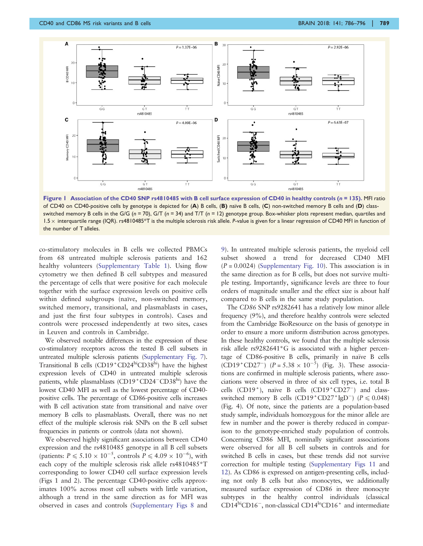

Figure 1 Association of the CD40 SNP rs4810485 with B cell surface expression of CD40 in healthy controls ( $n = 135$ ). MFI ratio of CD40 on CD40-positive cells by genotype is depicted for (A) B cells, (B) naïve B cells, (C) non-switched memory B cells and (D) classswitched memory B cells in the G/G ( $n = 70$ ), G/T ( $n = 34$ ) and T/T ( $n = 12$ ) genotype group. Box-whisker plots represent median, quartiles and 1.5 x interquartile range (IQR). rs4810485\*T is the multiple sclerosis risk allele. P-value is given for a linear regression of CD40 MFI in function of the number of T alleles.

co-stimulatory molecules in B cells we collected PBMCs from 68 untreated multiple sclerosis patients and 162 healthy volunteers (Supplementary Table 1). Using flow cytometry we then defined B cell subtypes and measured the percentage of cells that were positive for each molecule together with the surface expression levels on positive cells within defined subgroups (naïve, non-switched memory, switched memory, transitional, and plasmablasts in cases, and just the first four subtypes in controls). Cases and controls were processed independently at two sites, cases in Leuven and controls in Cambridge.

We observed notable differences in the expression of these co-stimulatory receptors across the tested B cell subsets in untreated multiple sclerosis patients (Supplementary Fig. 7). Transitional B cells  $(CD19 + CD24<sup>hi</sup>CD38<sup>hi</sup>)$  have the highest expression levels of CD40 in untreated multiple sclerosis patients, while plasmablasts  $(CD19 + CD24 - CD38<sup>hi</sup>)$  have the lowest CD40 MFI as well as the lowest percentage of CD40 positive cells. The percentage of CD86-positive cells increases with B cell activation state from transitional and naïve over memory B cells to plasmablasts. Overall, there was no net effect of the multiple sclerosis risk SNPs on the B cell subset frequencies in patients or controls (data not shown).

We observed highly significant associations between CD40 expression and the rs4810485 genotype in all B cell subsets (patients:  $P \le 5.10 \times 10^{-5}$ , controls  $P \le 4.09 \times 10^{-6}$ ), with each copy of the multiple sclerosis risk allele rs4810485\*T corresponding to lower CD40 cell surface expression levels (Figs 1 and [2](#page-4-0)). The percentage CD40-positive cells approximates 100% across most cell subsets with little variation, although a trend in the same direction as for MFI was observed in cases and controls (Supplementary Figs 8 and

9). In untreated multiple sclerosis patients, the myeloid cell subset showed a trend for decreased CD40 MFI  $(P = 0.0024)$  (Supplementary Fig. 10). This association is in the same direction as for B cells, but does not survive multiple testing. Importantly, significance levels are three to four orders of magnitude smaller and the effect size is about half compared to B cells in the same study population.

The CD86 SNP rs9282641 has a relatively low minor allele frequency (9%), and therefore healthy controls were selected from the Cambridge BioResource on the basis of genotype in order to ensure a more uniform distribution across genotypes. In these healthy controls, we found that the multiple sclerosis risk allele rs9282641\*G is associated with a higher percentage of CD86-positive B cells, primarily in naïve B cells  $(CD19 + CD27)$   $(P = 5.38 \times 10^{-5})$  [\(Fig. 3](#page-5-0)). These associations are confirmed in multiple sclerosis patients, where associations were observed in three of six cell types, i.e. total B cells  $(CD19<sup>+</sup>)$ , naïve B cells  $(CD19<sup>+</sup>CD27<sup>-</sup>)$  and classswitched memory B cells  $(CD19+CD27+ IgD^-)$   $(P \le 0.048)$ [\(Fig. 4](#page-6-0)). Of note, since the patients are a population-based study sample, individuals homozygous for the minor allele are few in number and the power is thereby reduced in comparison to the genotype-enriched study population of controls. Concerning CD86 MFI, nominally significant associations were observed for all B cell subsets in controls and for switched B cells in cases, but these trends did not survive correction for multiple testing (Supplementary Figs 11 and 12). As CD86 is expressed on antigen-presenting cells, including not only B cells but also monocytes, we additionally measured surface expression of CD86 in three monocyte subtypes in the healthy control individuals (classical CD14<sup>hi</sup>CD16<sup>-</sup>, non-classical CD14<sup>ho</sup>CD16<sup>+</sup> and intermediate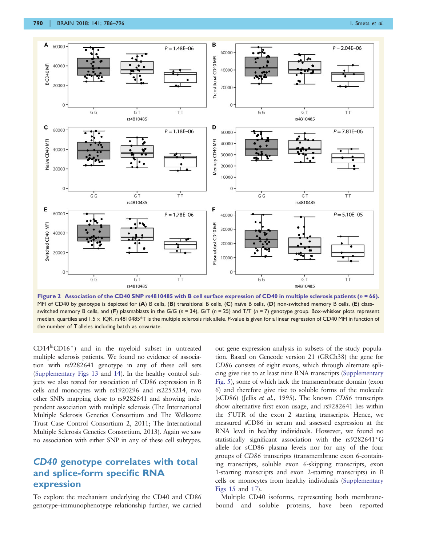<span id="page-4-0"></span>

Figure 2 Association of the CD40 SNP rs4810485 with B cell surface expression of CD40 in multiple sclerosis patients ( $n = 66$ ). MFI of CD40 by genotype is depicted for  $(A)$  B cells,  $(B)$  transitional B cells,  $(C)$  naïve B cells,  $(D)$  non-switched memory B cells,  $(E)$  classswitched memory B cells, and (F) plasmablasts in the G/G ( $n = 34$ ), G/T ( $n = 25$ ) and T/T ( $n = 7$ ) genotype group. Box-whisker plots represent median, quartiles and 1.5  $\times$  IQR. rs4810485\*T is the multiple sclerosis risk allele. P-value is given for a linear regression of CD40 MFI in function of the number of T alleles including batch as covariate.

 $CD14<sup>hi</sup>CD16<sup>+</sup>)$  and in the myeloid subset in untreated multiple sclerosis patients. We found no evidence of association with rs9282641 genotype in any of these cell sets (Supplementary Figs 13 and 14). In the healthy control subjects we also tested for association of CD86 expression in B cells and monocytes with rs1920296 and rs2255214, two other SNPs mapping close to rs9282641 and showing independent association with multiple sclerosis [\(The International](#page-10-0) [Multiple Sclerosis Genetics Consortium and The Wellcome](#page-10-0) [Trust Case Control Consortium 2, 2011](#page-10-0); [The International](#page-10-0) [Multiple Sclerosis Genetics Consortium, 2013](#page-10-0)). Again we saw no association with either SNP in any of these cell subtypes.

### CD40 genotype correlates with total and splice-form specific RNA expression

To explore the mechanism underlying the CD40 and CD86 genotype–immunophenotype relationship further, we carried out gene expression analysis in subsets of the study population. Based on Gencode version 21 (GRCh38) the gene for CD86 consists of eight exons, which through alternate splicing give rise to at least nine RNA transcripts (Supplementary Fig. 5), some of which lack the transmembrane domain (exon 6) and therefore give rise to soluble forms of the molecule (sCD86) (Jellis et al.[, 1995](#page-9-0)). The known CD86 transcripts show alternative first exon usage, and rs9282641 lies within the 5'UTR of the exon 2 starting transcripts. Hence, we measured sCD86 in serum and assessed expression at the RNA level in healthy individuals. However, we found no statistically significant association with the rs9282641\*G allele for sCD86 plasma levels nor for any of the four groups of CD86 transcripts (transmembrane exon 6-containing transcripts, soluble exon 6-skipping transcripts, exon 1-starting transcripts and exon 2-starting transcripts) in B cells or monocytes from healthy individuals (Supplementary Figs 15 and 17).

Multiple CD40 isoforms, representing both membranebound and soluble proteins, have been reported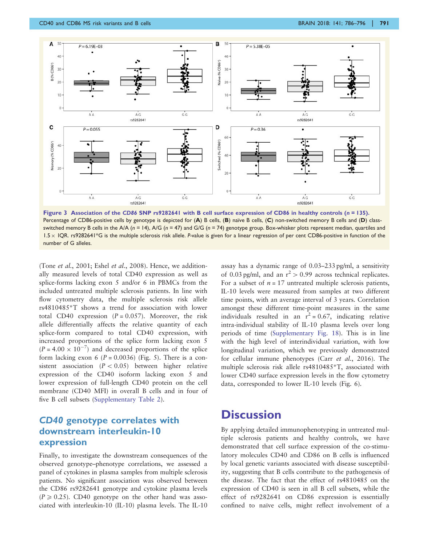<span id="page-5-0"></span>

Figure 3 Association of the CD86 SNP rs9282641 with B cell surface expression of CD86 in healthy controls (n = 135). Percentage of CD86-positive cells by genotype is depicted for (A) B cells, (B) naïve B cells, (C) non-switched memory B cells and (D) classswitched memory B cells in the A/A ( $n = 14$ ), A/G ( $n = 47$ ) and G/G ( $n = 74$ ) genotype group. Box-whisker plots represent median, quartiles and 1.5 x IQR. rs9282641\*G is the multiple sclerosis risk allele. P-value is given for a linear regression of per cent CD86-positive in function of the number of G alleles.

(Tone et al.[, 2001;](#page-10-0) Eshel et al.[, 2008\)](#page-9-0). Hence, we additionally measured levels of total CD40 expression as well as splice-forms lacking exon 5 and/or 6 in PBMCs from the included untreated multiple sclerosis patients. In line with flow cytometry data, the multiple sclerosis risk allele rs4810485\*T shows a trend for association with lower total CD40 expression  $(P = 0.057)$ . Moreover, the risk allele differentially affects the relative quantity of each splice-form compared to total CD40 expression, with increased proportions of the splice form lacking exon 5  $(P = 4.00 \times 10^{-7})$  and decreased proportions of the splice form lacking exon 6 ( $P = 0.0036$ ) [\(Fig. 5\)](#page-7-0). There is a consistent association  $(P < 0.05)$  between higher relative expression of the CD40 isoform lacking exon 5 and lower expression of full-length CD40 protein on the cell membrane (CD40 MFI) in overall B cells and in four of five B cell subsets (Supplementary Table 2).

### CD40 genotype correlates with downstream interleukin-10 expression

Finally, to investigate the downstream consequences of the observed genotype–phenotype correlations, we assessed a panel of cytokines in plasma samples from multiple sclerosis patients. No significant association was observed between the CD86 rs9282641 genotype and cytokine plasma levels  $(P \ge 0.25)$ . CD40 genotype on the other hand was associated with interleukin-10 (IL-10) plasma levels. The IL-10

assay has a dynamic range of 0.03–233 pg/ml, a sensitivity of 0.03 pg/ml, and an  $r^2 > 0.99$  across technical replicates. For a subset of  $n = 17$  untreated multiple sclerosis patients, IL-10 levels were measured from samples at two different time points, with an average interval of 3 years. Correlation amongst these different time-point measures in the same individuals resulted in an  $r^2 = 0.67$ , indicating relative intra-individual stability of IL-10 plasma levels over long periods of time (Supplementary Fig. 18). This is in line with the high level of interindividual variation, with low longitudinal variation, which we previously demonstrated for cellular immune phenotypes (Carr et al.[, 2016](#page-9-0)). The multiple sclerosis risk allele rs4810485\*T, associated with lower CD40 surface expression levels in the flow cytometry data, corresponded to lower IL-10 levels ([Fig. 6\)](#page-8-0).

# **Discussion**

By applying detailed immunophenotyping in untreated multiple sclerosis patients and healthy controls, we have demonstrated that cell surface expression of the co-stimulatory molecules CD40 and CD86 on B cells is influenced by local genetic variants associated with disease susceptibility, suggesting that B cells contribute to the pathogenesis of the disease. The fact that the effect of rs4810485 on the expression of CD40 is seen in all B cell subsets, while the effect of rs9282641 on CD86 expression is essentially confined to naïve cells, might reflect involvement of a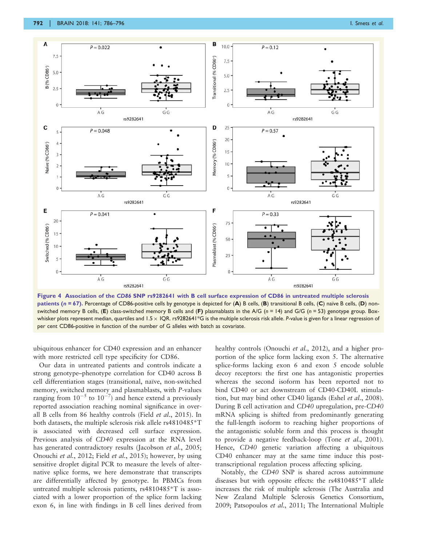<span id="page-6-0"></span>

Figure 4 Association of the CD86 SNP rs9282641 with B cell surface expression of CD86 in untreated multiple sclerosis patients ( $n = 67$ ). Percentage of CD86-positive cells by genotype is depicted for (A) B cells, (B) transitional B cells, (C) naïve B cells, (D) nonswitched memory B cells, (E) class-switched memory B cells and (F) plasmablasts in the A/G (n = 14) and G/G (n = 53) genotype group. Boxwhisker plots represent median, quartiles and 1.5  $\times$  IQR. rs9282641\*G is the multiple sclerosis risk allele. P-value is given for a linear regression of per cent CD86-positive in function of the number of G alleles with batch as covariate.

ubiquitous enhancer for CD40 expression and an enhancer with more restricted cell type specificity for CD86.

Our data in untreated patients and controls indicate a strong genotype–phenotype correlation for CD40 across B cell differentiation stages (transitional, naïve, non-switched memory, switched memory and plasmablasts, with P-values ranging from  $10^{-5}$  to  $10^{-7}$ ) and hence extend a previously reported association reaching nominal significance in overall B cells from 86 healthy controls (Field et al.[, 2015](#page-9-0)). In both datasets, the multiple sclerosis risk allele rs4810485\*T is associated with decreased cell surface expression. Previous analysis of CD40 expression at the RNA level has generated contradictory results [\(Jacobson](#page-9-0) et al., 2005; [Onouchi](#page-10-0) et al., 2012; Field et al.[, 2015\)](#page-9-0); however, by using sensitive droplet digital PCR to measure the levels of alternative splice forms, we here demonstrate that transcripts are differentially affected by genotype. In PBMCs from untreated multiple sclerosis patients, rs4810485\*T is associated with a lower proportion of the splice form lacking exon 6, in line with findings in B cell lines derived from

healthy controls [\(Onouchi](#page-10-0) et al., 2012), and a higher proportion of the splice form lacking exon 5. The alternative splice-forms lacking exon 6 and exon 5 encode soluble decoy receptors: the first one has antagonistic properties whereas the second isoform has been reported not to bind CD40 or act downstream of CD40-CD40L stimulation, but may bind other CD40 ligands (Eshel et al.[, 2008](#page-9-0)). During B cell activation and CD40 upregulation, pre-CD40 mRNA splicing is shifted from predominantly generating the full-length isoform to reaching higher proportions of the antagonistic soluble form and this process is thought to provide a negative feedback-loop (Tone et al.[, 2001](#page-10-0)). Hence, CD40 genetic variation affecting a ubiquitous CD40 enhancer may at the same time induce this posttranscriptional regulation process affecting splicing.

Notably, the CD40 SNP is shared across autoimmune diseases but with opposite effects: the rs4810485\*T allele increases the risk of multiple sclerosis ([The Australia and](#page-10-0) [New Zealand Multiple Sclerosis Genetics Consortium,](#page-10-0) [2009; Patsopoulos](#page-10-0) et al., 2011; [The International Multiple](#page-10-0)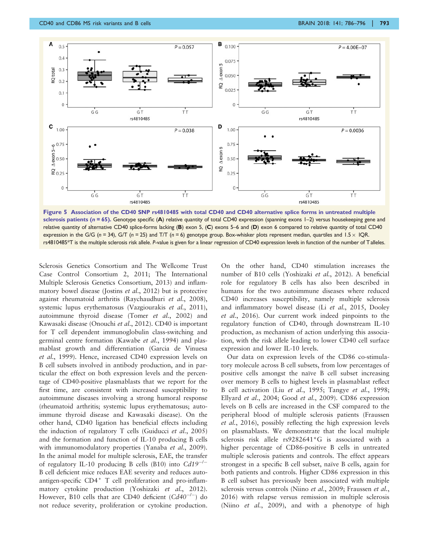<span id="page-7-0"></span>

Figure 5 Association of the CD40 SNP rs4810485 with total CD40 and CD40 alternative splice forms in untreated multiple sclerosis patients ( $n = 65$ ). Genotype specific (A) relative quantity of total CD40 expression (spanning exons  $1-2$ ) versus housekeeping gene and relative quantity of alternative CD40 splice-forms lacking (B) exon 5, (C) exons 5–6 and (D) exon 6 compared to relative quantity of total CD40 expression in the G/G ( $n = 34$ ), G/T ( $n = 25$ ) and T/T ( $n = 6$ ) genotype group. Box-whisker plots represent median, quartiles and I.5 × IQR. rs4810485\*T is the multiple sclerosis risk allele. P-value is given for a linear regression of CD40 expression levels in function of the number of Talleles.

[Sclerosis Genetics Consortium and The Wellcome Trust](#page-10-0) [Case Control Consortium 2, 2011](#page-10-0); [The International](#page-10-0) [Multiple Sclerosis Genetics Consortium, 2013](#page-10-0)) and inflam-matory bowel disease [\(Jostins](#page-9-0) *et al.*, 2012) but is protective against rheumatoid arthritis [\(Raychaudhuri](#page-10-0) et al., 2008), systemic lupus erythematosus [\(Vazgiourakis](#page-10-0) et al., 2011), autoimmune thyroid disease (Tomer et al.[, 2002\)](#page-10-0) and Kawasaki disease [\(Onouchi](#page-10-0) et al., 2012). CD40 is important for T cell dependent immunoglobulin class-switching and germinal centre formation ([Kawabe](#page-9-0) et al., 1994) and plasmablast growth and differentiation ([Garcia de Vinuesa](#page-9-0) et al.[, 1999\)](#page-9-0). Hence, increased CD40 expression levels on B cell subsets involved in antibody production, and in particular the effect on both expression levels and the percentage of CD40-positive plasmablasts that we report for the first time, are consistent with increased susceptibility to autoimmune diseases involving a strong humoral response (rheumatoid arthritis; systemic lupus erythematosus; autoimmune thyroid disease and Kawasaki disease). On the other hand, CD40 ligation has beneficial effects including the induction of regulatory T cells ([Guiducci](#page-9-0) et al., 2005) and the formation and function of IL-10 producing B cells with immunomodulatory properties [\(Yanaba](#page-10-0) et al., 2009). In the animal model for multiple sclerosis, EAE, the transfer of regulatory IL-10 producing B cells (B10) into  $Cd19^{-/-}$ B cell deficient mice reduces EAE severity and reduces autoantigen-specific CD4<sup>+</sup> T cell proliferation and pro-inflammatory cytokine production [\(Yoshizaki](#page-10-0) et al., 2012). However, B10 cells that are CD40 deficient  $(Cd40^{-/-})$  do not reduce severity, proliferation or cytokine production.

On the other hand, CD40 stimulation increases the number of B10 cells [\(Yoshizaki](#page-10-0) et al., 2012). A beneficial role for regulatory B cells has also been described in humans for the two autoimmune diseases where reduced CD40 increases susceptibility, namely multiple sclerosis and inflammatory bowel disease (Li et al.[, 2015](#page-9-0), [Dooley](#page-9-0) et al.[, 2016](#page-9-0)). Our current work indeed pinpoints to the regulatory function of CD40, through downstream IL-10 production, as mechanism of action underlying this association, with the risk allele leading to lower CD40 cell surface expression and lower IL-10 levels.

Our data on expression levels of the CD86 co-stimulatory molecule across B cell subsets, from low percentages of positive cells amongst the naïve B cell subset increasing over memory B cells to highest levels in plasmablast reflect B cell activation (Liu et al.[, 1995](#page-10-0); [Tangye](#page-10-0) et al., 1998; [Ellyard](#page-9-0) et al., 2004; Good et al.[, 2009\)](#page-9-0). CD86 expression levels on B cells are increased in the CSF compared to the peripheral blood of multiple sclerosis patients ([Fraussen](#page-9-0) et al.[, 2016](#page-9-0)), possibly reflecting the high expression levels on plasmablasts. We demonstrate that the local multiple sclerosis risk allele rs9282641\*G is associated with a higher percentage of CD86-positive B cells in untreated multiple sclerosis patients and controls. The effect appears strongest in a specific B cell subset, naïve B cells, again for both patients and controls. Higher CD86 expression in this B cell subset has previously been associated with multiple sclerosis versus controls (Niino et al.[, 2009](#page-10-0); [Fraussen](#page-9-0) et al., [2016](#page-9-0)) with relapse versus remission in multiple sclerosis (Niino et al.[, 2009](#page-10-0)), and with a phenotype of high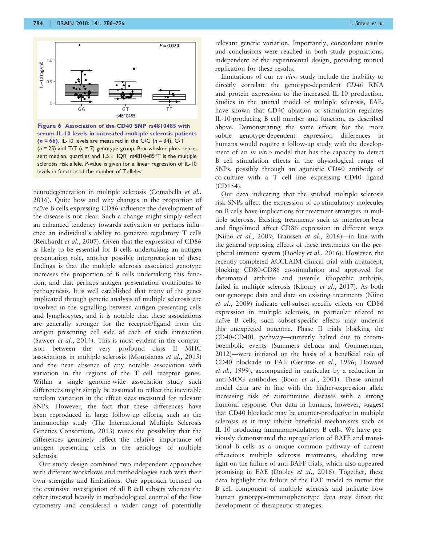<span id="page-8-0"></span>

Figure 6 Association of the CD40 SNP rs4810485 with serum IL-10 levels in untreated multiple sclerosis patients  $(n = 66)$ . IL-10 levels are measured in the G/G  $(n = 34)$ , G/T  $(n = 25)$  and T/T  $(n = 7)$  genotype group. Box-whisker plots represent median, quartiles and  $1.5 \times$  IQR. rs4810485\*T is the multiple sclerosis risk allele. P-value is given for a linear regression of IL-10 levels in function of the number of T alleles.

neurodegeneration in multiple sclerosis [\(Comabella](#page-9-0) et al., [2016](#page-9-0)). Quite how and why changes in the proportion of naïve B cells expressing CD86 influence the development of the disease is not clear. Such a change might simply reflect an enhanced tendency towards activation or perhaps influence an individual's ability to generate regulatory T cells [\(Reichardt](#page-10-0) et al., 2007). Given that the expression of CD86 is likely to be essential for B cells undertaking an antigen presentation role, another possible interpretation of these findings is that the multiple sclerosis associated genotype increases the proportion of B cells undertaking this function, and that perhaps antigen presentation contributes to pathogenesis. It is well established that many of the genes implicated through genetic analysis of multiple sclerosis are involved in the signalling between antigen presenting cells and lymphocytes, and it is notable that these associations are generally stronger for the receptor/ligand from the antigen presenting cell side of each of such interaction [\(Sawcer](#page-10-0) et al., 2014). This is most evident in the comparison between the very profound class II MHC associations in multiple sclerosis [\(Moutsianas](#page-10-0) et al., 2015) and the near absence of any notable association with variation in the regions of the T cell receptor genes. Within a single genome-wide association study such differences might simply be assumed to reflect the inevitable random variation in the effect sizes measured for relevant SNPs. However, the fact that these differences have been reproduced in large follow-up efforts, such as the immunochip study [\(The International Multiple Sclerosis](#page-10-0) [Genetics Consortium, 2013\)](#page-10-0) raises the possibility that the differences genuinely reflect the relative importance of antigen presenting cells in the aetiology of multiple sclerosis.

Our study design combined two independent approaches with different workflows and methodologies each with their own strengths and limitations. One approach focused on the extensive investigation of all B cell subsets whereas the other invested heavily in methodological control of the flow cytometry and considered a wider range of potentially relevant genetic variation. Importantly, concordant results and conclusions were reached in both study populations, independent of the experimental design, providing mutual replication for these results.

Limitations of our ex vivo study include the inability to directly correlate the genotype-dependent CD40 RNA and protein expression to the increased IL-10 production. Studies in the animal model of multiple sclerosis, EAE, have shown that CD40 ablation or stimulation regulates IL-10-producing B cell number and function, as described above. Demonstrating the same effects for the more subtle genotype-dependent expression differences in humans would require a follow-up study with the development of an *in vitro* model that has the capacity to detect B cell stimulation effects in the physiological range of SNPs, possibly through an agonistic CD40 antibody or co-culture with a T cell line expressing CD40 ligand (CD154).

Our data indicating that the studied multiple sclerosis risk SNPs affect the expression of co-stimulatory molecules on B cells have implications for treatment strategies in multiple sclerosis. Existing treatments such as interferon-beta and fingolimod affect CD86 expression in different ways (Niino et al.[, 2009](#page-10-0); [Fraussen](#page-9-0) et al., 2016)—in line with the general opposing effects of these treatments on the peripheral immune system ([Dooley](#page-9-0) et al., 2016). However, the recently completed ACCLAIM clinical trial with abatacept, blocking CD80-CD86 co-stimulation and approved for rheumatoid arthritis and juvenile idiopathic arthritis, failed in multiple sclerosis ([Khoury](#page-9-0) et al., 2017). As both our genotype data and data on existing treatments ([Niino](#page-10-0) et al.[, 2009\)](#page-10-0) indicate cell-subset-specific effects on CD86 expression in multiple sclerosis, in particular related to naïve B cells, such subset-specific effects may underlie this unexpected outcome. Phase II trials blocking the CD40-CD40L pathway—currently halted due to thromboembolic events ([Summers deLuca and Gommerman,](#page-10-0) [2012\)](#page-10-0)—were initiated on the basis of a beneficial role of CD40 blockade in EAE [\(Gerritse](#page-9-0) et al., 1996; [Howard](#page-9-0) et al.[, 1999\)](#page-9-0), accompanied in particular by a reduction in anti-MOG antibodies (Boon et al.[, 2001\)](#page-9-0). These animal model data are in line with the higher-expression allele increasing risk of autoimmune diseases with a strong humoral response. Our data in humans, however, suggest that CD40 blockade may be counter-productive in multiple sclerosis as it may inhibit beneficial mechanisms such as IL-10 producing immunomodulatory B cells. We have previously demonstrated the upregulation of BAFF and transitional B cells as a unique common pathway of current efficacious multiple sclerosis treatments, shedding new light on the failure of anti-BAFF trials, which also appeared promising in EAE ([Dooley](#page-9-0) et al., 2016). Together, these data highlight the failure of the EAE model to mimic the B cell component of multiple sclerosis and indicate how human genotype–immunophenotype data may direct the development of therapeutic strategies.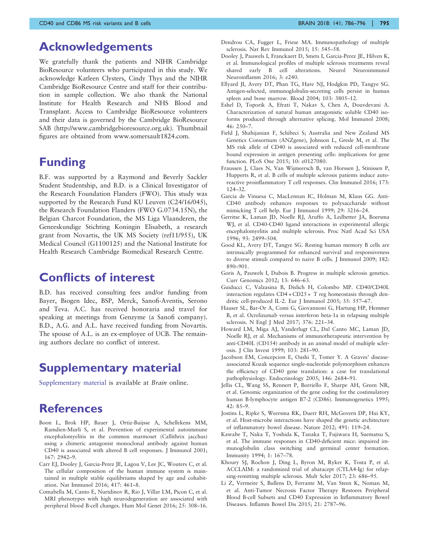# <span id="page-9-0"></span>Acknowledgements

We gratefully thank the patients and NIHR Cambridge BioResource volunteers who participated in this study. We acknowledge Katleen Clysters, Cindy Thys and the NIHR Cambridge BioResource Centre and staff for their contribution in sample collection. We also thank the National Institute for Health Research and NHS Blood and Transplant. Access to Cambridge BioResource volunteers and their data is governed by the Cambridge BioResource SAB (http://www.cambridgebioresource.org.uk). Thumbnail figures are obtained from www.somersault1824.com.

# Funding

B.F. was supported by a Raymond and Beverly Sackler Student Studentship, and B.D. is a Clinical Investigator of the Research Foundation Flanders (FWO). This study was supported by the Research Fund KU Leuven (C24/16/045), the Research Foundation Flanders (FWO G.0734.15N), the Belgian Charcot Foundation, the MS Liga Vlaanderen, the Geneeskundige Stichting Koningin Elisabeth, a research grant from Novartis, the UK MS Society (ref11/955), UK Medical Council (G1100125) and the National Institute for Health Research Cambridge Biomedical Research Centre.

### Conflicts of interest

B.D. has received consulting fees and/or funding from Bayer, Biogen Idec, BSP, Merck, Sanofi-Aventis, Serono and Teva. A.C. has received honoraria and travel for speaking at meetings from Genzyme (a Sanofi company). B.D., A.G. and A.L. have received funding from Novartis. The spouse of A.L. is an ex-employee of UCB. The remaining authors declare no conflict of interest.

# Supplementary material

Supplementary material is available at Brain online.

# **References**

- Boon L, Brok HP, Bauer J, Ortiz-Buijsse A, Schellekens MM, Ramdien-Murli S, et al. Prevention of experimental autoimmune encephalomyelitis in the common marmoset (Callithrix jacchus) using a chimeric antagonist monoclonal antibody against human CD40 is associated with altered B cell responses. J Immunol 2001; 167: 2942–9.
- Carr EJ, Dooley J, Garcia-Perez JE, Lagou V, Lee JC, Wouters C, et al. The cellular composition of the human immune system is maintained in multiple stable equilibriums shaped by age and cohabitation. Nat Immunol 2016; 417: 461–8.
- Comabella M, Canto E, Nurtdinov R, Rio J, Villar LM, Picon C, et al. MRI phenotypes with high neurodegeneration are associated with peripheral blood B-cell changes. Hum Mol Genet 2016; 25: 308–16.
- Dendrou CA, Fugger L, Friese MA. Immunopathology of multiple sclerosis. Nat Rev Immunol 2015; 15: 545–58.
- Dooley J, Pauwels I, Franckaert D, Smets I, Garcia-Perez JE, Hilven K, et al. Immunological profiles of multiple sclerosis treatments reveal shared early B cell alterations. Neurol Neuroimmunol Neuroinflamm 2016; 3: e240.
- Ellyard JI, Avery DT, Phan TG, Hare NJ, Hodgkin PD, Tangye SG. Antigen-selected, immunoglobulin-secreting cells persist in human spleen and bone marrow. Blood 2004; 103: 3805–12.
- Eshel D, Toporik A, Efrati T, Nakav S, Chen A, Douvdevani A. Characterization of natural human antagonistic soluble CD40 isoforms produced through alternative splicing. Mol Immunol 2008;  $46: 250 - 7$ .
- Field J, Shahijanian F, Schibeci S; Australia and New Zealand MS Genetics Consortium (ANZgene), Johnson L, Gresle M, et al. The MS risk allele of CD40 is associated with reduced cell-membrane bound expression in antigen presenting cells: implications for gene function. PLoS One 2015; 10: e0127080.
- Fraussen J, Claes N, Van Wijmeersch B, van Horssen J, Stinissen P, Hupperts R, et al. B cells of multiple sclerosis patients induce autoreactive proinflammatory T cell responses. Clin Immunol 2016; 173: 124–32.
- Garcia de Vinuesa C, MacLennan IC, Holman M, Klaus GG. Anti-CD40 antibody enhances responses to polysaccharide without mimicking T cell help. Eur J Immunol 1999; 29: 3216–24.
- Gerritse K, Laman JD, Noelle RJ, Aruffo A, Ledbetter JA, Boersma WJ, et al. CD40-CD40 ligand interactions in experimental allergic encephalomyelitis and multiple sclerosis. Proc Natl Acad Sci USA 1996; 93: 2499–504.
- Good KL, Avery DT, Tangye SG. Resting human memory B cells are intrinsically programmed for enhanced survival and responsiveness to diverse stimuli compared to naive B cells. J Immunol 2009; 182: 890–901.
- Goris A, Pauwels I, Dubois B. Progress in multiple sclerosis genetics. Curr Genomics 2012; 13: 646–63.
- Guiducci C, Valzasina B, Dislich H, Colombo MP. CD40/CD40L interaction regulates CD4 + CD25 + T reg homeostasis through dendritic cell-produced IL-2. Eur J Immunol 2005; 35: 557–67.
- Hauser SL, Bar-Or A, Comi G, Giovannoni G, Hartung HP, Hemmer B, et al. Ocrelizumab versus interferon beta-1a in relapsing multiple sclerosis. N Engl J Med 2017; 376: 221-34.
- Howard LM, Miga AJ, Vanderlugt CL, Dal Canto MC, Laman JD, Noelle RJ, et al. Mechanisms of immunotherapeutic intervention by anti-CD40L (CD154) antibody in an animal model of multiple sclerosis. J Clin Invest 1999; 103: 281–90.
- Jacobson EM, Concepcion E, Oashi T, Tomer Y. A Graves' diseaseassociated Kozak sequence single-nucleotide polymorphism enhances the efficiency of CD40 gene translation: a case for translational pathophysiology. Endocrinology 2005; 146: 2684–91.
- Jellis CL, Wang SS, Rennert P, Borriello F, Sharpe AH, Green NR, et al. Genomic organization of the gene coding for the costimulatory human B-lymphocyte antigen B7-2 (CD86). Immunogenetics 1995; 42: 85–9.
- Jostins L, Ripke S, Weersma RK, Duerr RH, McGovern DP, Hui KY, et al. Host-microbe interactions have shaped the genetic architecture of inflammatory bowel disease. Nature 2012; 491: 119–24.
- Kawabe T, Naka T, Yoshida K, Tanaka T, Fujiwara H, Suematsu S, et al. The immune responses in CD40-deficient mice: impaired immunoglobulin class switching and germinal center formation. Immunity 1994; 1: 167–78.
- Khoury SJ, Rochon J, Ding L, Byron M, Ryker K, Tosta P, et al. ACCLAIM: a randomized trial of abatacept (CTLA4-Ig) for relapsing-remitting multiple sclerosis. Mult Scler 2017; 23: 686–95.
- Li Z, Vermeire S, Bullens D, Ferrante M, Van Steen K, Noman M, et al. Anti-Tumor Necrosis Factor Therapy Restores Peripheral Blood B-cell Subsets and CD40 Expression in Inflammatory Bowel Diseases. Inflamm Bowel Dis 2015; 21: 2787–96.